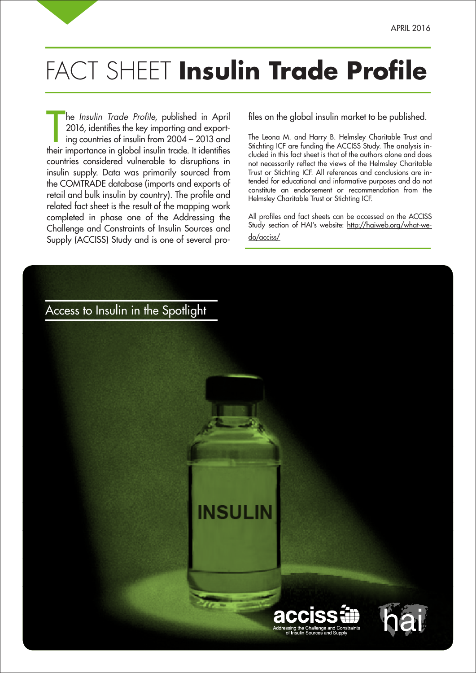## FACT SHEET **Insulin Trade Profile**

he *Insulin Trade Profile,* published in April 2016, identifies the key importing and exporting countries of insulin from 2004 – 2013 and their importance in global insulin trade. It identifies he Insulin Trade Profile, published in April 2016, identifies the key importing and exporting countries of insulin from 2004 – 2013 and countries considered vulnerable to disruptions in insulin supply. Data was primarily sourced from the COMTRADE database (imports and exports of retail and bulk insulin by country). The profile and related fact sheet is the result of the mapping work completed in phase one of the Addressing the Challenge and Constraints of Insulin Sources and Supply (ACCISS) Study and is one of several pro-

files on the global insulin market to be published.

The Leona M. and Harry B. Helmsley Charitable Trust and Stichting ICF are funding the ACCISS Study. The analysis included in this fact sheet is that of the authors alone and does not necessarily reflect the views of the Helmsley Charitable Trust or Stichting ICF. All references and conclusions are intended for educational and informative purposes and do not constitute an endorsement or recommendation from the Helmsley Charitable Trust or Stichting ICF.

All profiles and fact sheets can be accessed on the ACCISS Study section of HAI's website: http://haiweb.org/what-wedo/acciss/